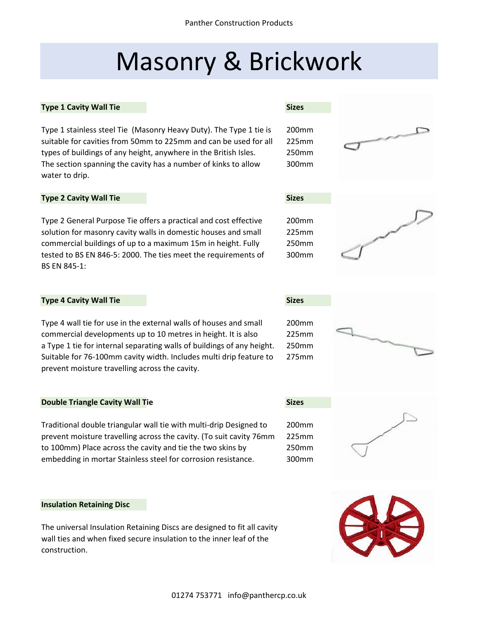# Masonry & Brickwork

# **Type 1 Cavity Wall Tie Sizes**

Type 1 stainless steel Tie (Masonry Heavy Duty). The Type 1 tie is 200mm suitable for cavities from 50mm to 225mm and can be used for all 225mm types of buildings of any height, anywhere in the British Isles. 250mm The section spanning the cavity has a number of kinks to allow 300mm water to drip.

# **Type 2 Cavity Wall Tie Sizes**

Type 2 General Purpose Tie offers a practical and cost effective 200mm solution for masonry cavity walls in domestic houses and small 225mm commercial buildings of up to a maximum 15m in height. Fully 250mm tested to BS EN 846-5: 2000. The ties meet the requirements of 300mm BS EN 845-1:

# **Type 4 Cavity Wall Tie Sizes**

Type 4 wall tie for use in the external walls of houses and small 200mm commercial developments up to 10 metres in height. It is also 225mm a Type 1 tie for internal separating walls of buildings of any height. 250mm Suitable for 76-100mm cavity width. Includes multi drip feature to 275mm prevent moisture travelling across the cavity.

# **Double Triangle Cavity Wall Tie Sizes Sizes Sizes**

Traditional double triangular wall tie with multi-drip Designed to 200mm prevent moisture travelling across the cavity. (To suit cavity 76mm 225mm to 100mm) Place across the cavity and tie the two skins by 250mm embedding in mortar Stainless steel for corrosion resistance. 300mm

# **Insulation Retaining Disc**

The universal Insulation Retaining Discs are designed to fit all cavity wall ties and when fixed secure insulation to the inner leaf of the construction.







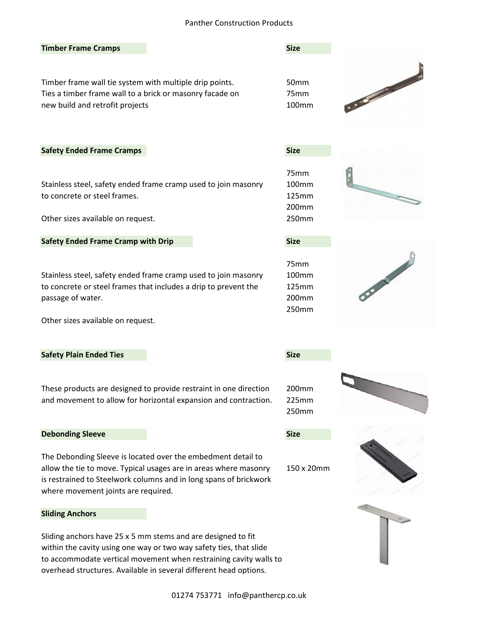# Panther Construction Products

| <b>Timber Frame Cramps</b>                                                                                                                                                                                                                                                   | <b>Size</b>                              |                 |
|------------------------------------------------------------------------------------------------------------------------------------------------------------------------------------------------------------------------------------------------------------------------------|------------------------------------------|-----------------|
| Timber frame wall tie system with multiple drip points.<br>Ties a timber frame wall to a brick or masonry facade on<br>new build and retrofit projects                                                                                                                       | 50mm<br>75mm<br>100mm                    | 3000            |
| <b>Safety Ended Frame Cramps</b>                                                                                                                                                                                                                                             | <b>Size</b>                              |                 |
| Stainless steel, safety ended frame cramp used to join masonry<br>to concrete or steel frames.<br>Other sizes available on request.                                                                                                                                          | 75mm<br>100mm<br>125mm<br>200mm<br>250mm |                 |
| <b>Safety Ended Frame Cramp with Drip</b>                                                                                                                                                                                                                                    | <b>Size</b>                              |                 |
| Stainless steel, safety ended frame cramp used to join masonry<br>to concrete or steel frames that includes a drip to prevent the<br>passage of water.<br>Other sizes available on request.                                                                                  | 75mm<br>100mm<br>125mm<br>200mm<br>250mm | <b>STANDARD</b> |
| <b>Safety Plain Ended Ties</b>                                                                                                                                                                                                                                               | <b>Size</b>                              |                 |
| These products are designed to provide restraint in one direction<br>and movement to allow for horizontal expansion and contraction.                                                                                                                                         | 200 <sub>mm</sub><br>225mm<br>250mm      |                 |
| <b>Debonding Sleeve</b>                                                                                                                                                                                                                                                      | <b>Size</b>                              |                 |
| The Debonding Sleeve is located over the embedment detail to<br>allow the tie to move. Typical usages are in areas where masonry<br>is restrained to Steelwork columns and in long spans of brickwork<br>where movement joints are required.                                 | 150 x 20mm                               |                 |
| <b>Sliding Anchors</b>                                                                                                                                                                                                                                                       |                                          |                 |
| Sliding anchors have 25 x 5 mm stems and are designed to fit<br>within the cavity using one way or two way safety ties, that slide<br>to accommodate vertical movement when restraining cavity walls to<br>overhead structures. Available in several different head options. |                                          |                 |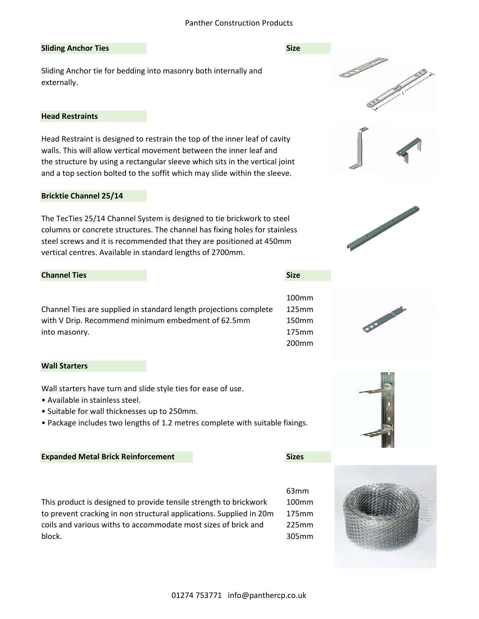# Panther Construction Products

## **Sliding Anchor Ties Size Size Size Size Size Size**

Sliding Anchor tie for bedding into masonry both internally and externally.

# **Head Restraints**

Head Restraint is designed to restrain the top of the inner leaf of cavity walls. This will allow vertical movement between the inner leaf and the structure by using a rectangular sleeve which sits in the vertical joint and a top section bolted to the soffit which may slide within the sleeve.

### **Bricktie Channel 25/14**

The TecTies 25/14 Channel System is designed to tie brickwork to steel columns or concrete structures. The channel has fixing holes for stainless steel screws and it is recommended that they are positioned at 450mm vertical centres. Available in standard lengths of 2700mm.

# **Channel Ties Size**

Channel Ties are supplied in standard length projections complete 125mm with V Drip. Recommend minimum embedment of 62.5mm 150mm into masonry. 175mm

# **Wall Starters**

Wall starters have turn and slide style ties for ease of use.

- Available in stainless steel.
- Suitable for wall thicknesses up to 250mm.
- Package includes two lengths of 1.2 metres complete with suitable fixings.

#### **Expanded Metal Brick Reinforcement Sizes**

This product is designed to provide tensile strength to brickwork 100mm to prevent cracking in non structural applications. Supplied in 20m 175mm coils and various withs to accommodate most sizes of brick and 225mm block. 305mm















63mm

100mm

200mm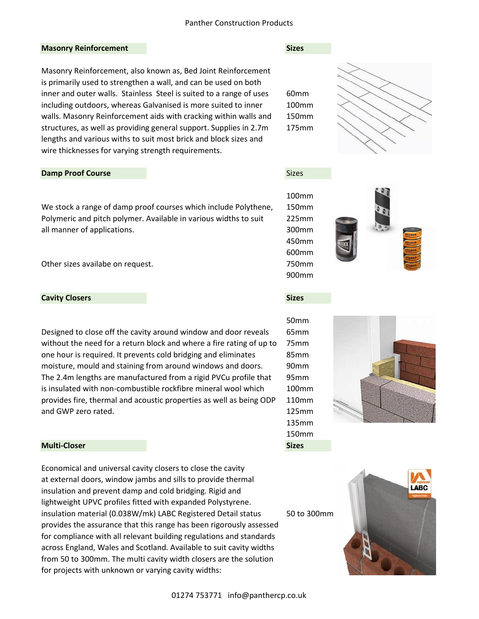# **Masonry Reinforcement Sizes**

Masonry Reinforcement, also known as, Bed Joint Reinforcement is primarily used to strengthen a wall, and can be used on both inner and outer walls. Stainless Steel is suited to a range of uses 60mm including outdoors, whereas Galvanised is more suited to inner 100mm walls. Masonry Reinforcement aids with cracking within walls and 150mm structures, as well as providing general support. Supplies in 2.7m 175mm lengths and various withs to suit most brick and block sizes and wire thicknesses for varying strength requirements.

# **Damp Proof Course** Sizes Sizes Sizes and the Sizes Sizes of the Sizes Sizes of the Sizes of the Sizes of the Sizes of the Sizes of the Sizes of the Sizes of the Sizes of the Sizes of the Sizes of the Sizes of the Sizes of

We stock a range of damp proof courses which include Polythene, 150mm Polymeric and pitch polymer. Available in various widths to suit 225mm all manner of applications. The same state of a series and solution of a series of a series of a series of  $\sim$  300mm

Other sizes availabe on request. 750mm

# **Cavity Closers Sizes**

Designed to close off the cavity around window and door reveals 65mm without the need for a return block and where a fire rating of up to 75mm one hour is required. It prevents cold bridging and eliminates 85mm moisture, mould and staining from around windows and doors. 90mm The 2.4m lengths are manufactured from a rigid PVCu profile that 95mm is insulated with non-combustible rockfibre mineral wool which 100mm provides fire, thermal and acoustic properties as well as being ODP 110mm and GWP zero rated. **125mm** 

# **Multi-Closer Sizes**

Economical and universal cavity closers to close the cavity at external doors, window jambs and sills to provide thermal insulation and prevent damp and cold bridging. Rigid and lightweight UPVC profiles fitted with expanded Polystyrene. insulation material (0.038W/mk) LABC Registered Detail status 50 to 300mm provides the assurance that this range has been rigorously assessed for compliance with all relevant building regulations and standards across England, Wales and Scotland. Available to suit cavity widths from 50 to 300mm. The multi cavity width closers are the solution for projects with unknown or varying cavity widths:









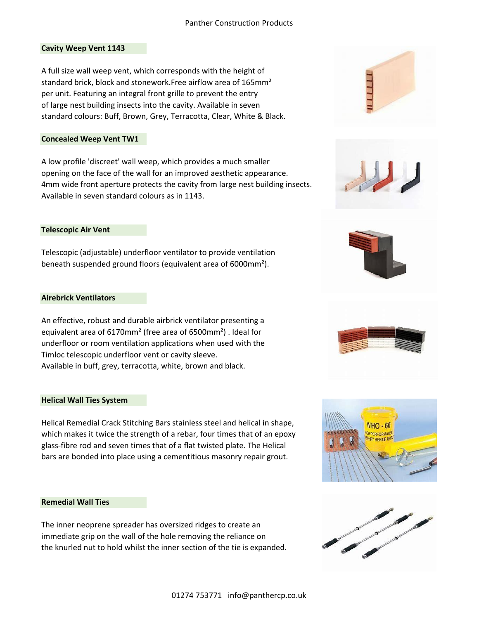# **Cavity Weep Vent 1143**

A full size wall weep vent, which corresponds with the height of standard brick, block and stonework. Free airflow area of 165mm<sup>2</sup> per unit. Featuring an integral front grille to prevent the entry of large nest building insects into the cavity. Available in seven standard colours: Buff, Brown, Grey, Terracotta, Clear, White & Black.

# **Concealed Weep Vent TW1**

A low profile 'discreet' wall weep, which provides a much smaller opening on the face of the wall for an improved aesthetic appearance. 4mm wide front aperture protects the cavity from large nest building insects. Available in seven standard colours as in 1143.

# **Telescopic Air Vent**

Telescopic (adjustable) underfloor ventilator to provide ventilation beneath suspended ground floors (equivalent area of 6000mm²).

# **Airebrick Ventilators**

An effective, robust and durable airbrick ventilator presenting a equivalent area of 6170mm² (free area of 6500mm²) . Ideal for underfloor or room ventilation applications when used with the Timloc telescopic underfloor vent or cavity sleeve. Available in buff, grey, terracotta, white, brown and black.

# **Helical Wall Ties System**

Helical Remedial Crack Stitching Bars stainless steel and helical in shape, which makes it twice the strength of a rebar, four times that of an epoxy glass-fibre rod and seven times that of a flat twisted plate. The Helical bars are bonded into place using a cementitious masonry repair grout.

# **Remedial Wall Ties**

The inner neoprene spreader has oversized ridges to create an immediate grip on the wall of the hole removing the reliance on the knurled nut to hold whilst the inner section of the tie is expanded.